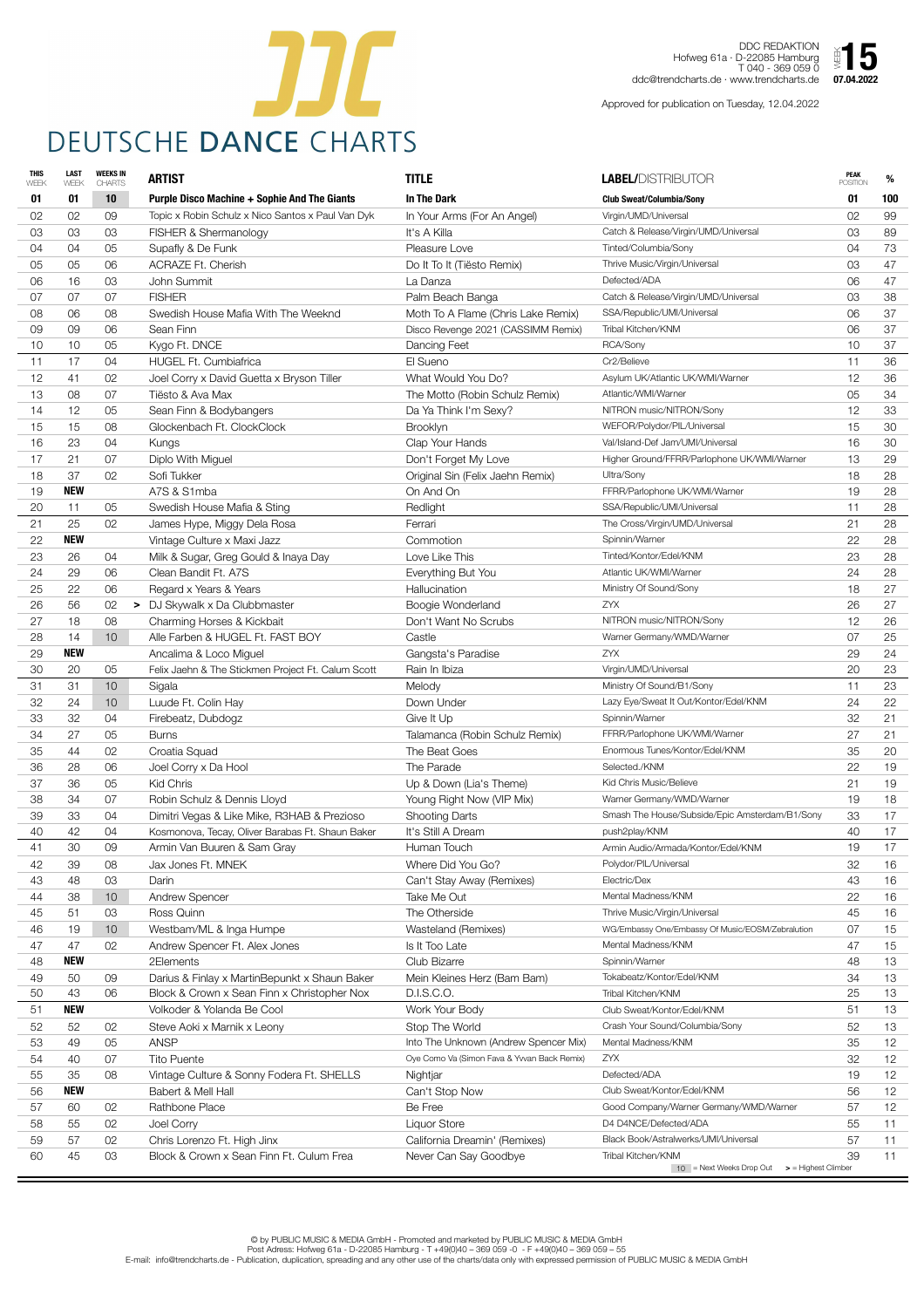

DDC REDAKTION Hofweg 61a · D-22085 Hamburg T 040 - 369 059 0 ddc@trendcharts.de · www.trendcharts.de  $\frac{1}{2}$  **5**<br> $\frac{1}{2}$  **07.04.2022** 

| <b>THIS</b><br>WEEK | <b>LAST</b><br>WEEK | <b>WEEKS IN</b><br><b>CHARTS</b> | <b>ARTIST</b>                                       | <b>TITLE</b>                                | <b>LABEL/DISTRIBUTOR</b>                                           | <b>PEAK</b><br><b>POSITION</b> | %        |
|---------------------|---------------------|----------------------------------|-----------------------------------------------------|---------------------------------------------|--------------------------------------------------------------------|--------------------------------|----------|
| 01                  | 01                  | 10                               | <b>Purple Disco Machine + Sophie And The Giants</b> | <b>In The Dark</b>                          | <b>Club Sweat/Columbia/Sony</b>                                    | 01                             | 100      |
| 02                  | 02                  | 09                               | Topic x Robin Schulz x Nico Santos x Paul Van Dyk   | In Your Arms (For An Angel)                 | Virgin/UMD/Universal                                               | 02                             | 99       |
| 03                  | 03                  | 03                               | FISHER & Shermanology                               | It's A Killa                                | Catch & Release/Virgin/UMD/Universal                               | 03                             | 89       |
| 04                  | 04                  | 05                               | Supafly & De Funk                                   | Pleasure Love                               | Tinted/Columbia/Sony                                               | 04                             | 73       |
| 05                  | 05                  | 06                               | <b>ACRAZE Ft. Cherish</b>                           | Do It To It (Tiësto Remix)                  | Thrive Music/Virgin/Universal                                      | 03                             | 47       |
| 06                  | 16                  | 03                               | John Summit                                         | La Danza                                    | Defected/ADA                                                       | 06                             | 47       |
| 07                  | 07                  | 07                               | <b>FISHER</b>                                       | Palm Beach Banga                            | Catch & Release/Virgin/UMD/Universal                               | 03                             | 38       |
| 08                  | 06                  | 08                               | Swedish House Mafia With The Weeknd                 | Moth To A Flame (Chris Lake Remix)          | SSA/Republic/UMI/Universal                                         | 06                             | 37       |
| 09                  | 09                  | 06                               | Sean Finn                                           | Disco Revenge 2021 (CASSIMM Remix)          | Tribal Kitchen/KNM                                                 | 06                             | 37       |
| 10                  | 10                  | 05                               | Kygo Ft. DNCE                                       | Dancing Feet                                | RCA/Sony                                                           | 10                             | 37       |
| 11                  | 17                  | 04                               | <b>HUGEL Ft. Cumbiafrica</b>                        | El Sueno                                    | Cr2/Believe                                                        | 11                             | 36       |
| 12                  | 41                  | 02                               | Joel Corry x David Guetta x Bryson Tiller           | What Would You Do?                          | Asylum UK/Atlantic UK/WMI/Warner                                   | 12                             | 36       |
| 13                  | 08                  | 07                               | Tiësto & Ava Max                                    | The Motto (Robin Schulz Remix)              | Atlantic/WMI/Warner                                                | 05                             | 34       |
| 14                  | 12                  | 05                               | Sean Finn & Bodybangers                             | Da Ya Think I'm Sexy?                       | NITRON music/NITRON/Sony                                           | 12                             | 33       |
| 15                  | 15                  | 08                               | Glockenbach Ft. ClockClock                          | <b>Brooklyn</b>                             | WEFOR/Polydor/PIL/Universal                                        | 15                             | 30       |
| 16                  | 23                  | 04                               | Kungs                                               | Clap Your Hands                             | Val/Island-Def Jam/UMI/Universal                                   | 16                             | 30       |
| 17                  | 21                  | 07                               | Diplo With Miguel                                   | Don't Forget My Love                        | Higher Ground/FFRR/Parlophone UK/WMI/Warner                        | 13                             | 29       |
| 18                  | 37                  | 02                               | Sofi Tukker                                         | Original Sin (Felix Jaehn Remix)            | Ultra/Sony                                                         | 18                             | 28       |
| 19                  | <b>NEW</b>          |                                  | A7S & S1mba                                         | On And On                                   | FFRR/Parlophone UK/WMI/Warner                                      | 19                             | 28       |
| 20                  | 11                  | 05                               | Swedish House Mafia & Sting                         | Redlight                                    | SSA/Republic/UMI/Universal                                         | 11                             | 28       |
| 21                  | 25                  | 02                               | James Hype, Miggy Dela Rosa                         | Ferrari                                     | The Cross/Virgin/UMD/Universal                                     | 21                             | 28       |
| 22                  | <b>NEW</b>          |                                  | Vintage Culture x Maxi Jazz                         | Commotion                                   | Spinnin/Warner                                                     | 22                             | 28       |
| 23                  | 26                  | 04                               | Milk & Sugar, Greg Gould & Inaya Day                | Love Like This                              | Tinted/Kontor/Edel/KNM                                             | 23                             | 28       |
| 24                  | 29                  | 06                               | Clean Bandit Ft. A7S                                | Everything But You                          | Atlantic UK/WMI/Warner                                             | 24                             | 28       |
| 25                  | 22                  | 06                               | Regard x Years & Years                              | Hallucination                               | Ministry Of Sound/Sony                                             | 18                             | 27       |
| 26                  | 56                  | 02                               | > DJ Skywalk x Da Clubbmaster                       | Boogie Wonderland                           | <b>ZYX</b>                                                         | 26                             | 27       |
| 27                  | 18                  | 08                               | Charming Horses & Kickbait                          | Don't Want No Scrubs                        | NITRON music/NITRON/Sony                                           | 12                             | 26       |
| 28                  | 14                  | 10                               | Alle Farben & HUGEL Ft. FAST BOY                    | Castle                                      | Warner Germany/WMD/Warner                                          | 07                             | 25       |
| 29                  | <b>NEW</b>          |                                  | Ancalima & Loco Miguel                              | Gangsta's Paradise<br>Rain In Ibiza         | ZYX                                                                | 29                             | 24       |
| 30<br>31            | 20<br>31            | 05                               | Felix Jaehn & The Stickmen Project Ft. Calum Scott  |                                             | Virgin/UMD/Universal                                               | 20                             | 23<br>23 |
|                     |                     | 10                               | Sigala                                              | Melody<br>Down Under                        | Ministry Of Sound/B1/Sony<br>Lazy Eye/Sweat It Out/Kontor/Edel/KNM | 11<br>24                       |          |
| 32<br>33            | 24<br>32            | 10<br>04                         | Luude Ft. Colin Hay                                 | Give It Up                                  | Spinnin/Warner                                                     | 32                             | 22<br>21 |
| 34                  | 27                  | 05                               | Firebeatz, Dubdogz<br><b>Burns</b>                  | Talamanca (Robin Schulz Remix)              | FFRR/Parlophone UK/WMI/Warner                                      | 27                             | 21       |
| 35                  | 44                  | 02                               | Croatia Squad                                       | The Beat Goes                               | Enormous Tunes/Kontor/Edel/KNM                                     | 35                             | 20       |
| 36                  | 28                  | 06                               | Joel Corry x Da Hool                                | The Parade                                  | Selected./KNM                                                      | 22                             | 19       |
| 37                  | 36                  | 05                               | Kid Chris                                           | Up & Down (Lia's Theme)                     | Kid Chris Music/Believe                                            | 21                             | 19       |
| 38                  | 34                  | 07                               | Robin Schulz & Dennis Lloyd                         | Young Right Now (VIP Mix)                   | Warner Germany/WMD/Warner                                          | 19                             | 18       |
| 39                  | 33                  | 04                               | Dimitri Vegas & Like Mike, R3HAB & Prezioso         | <b>Shooting Darts</b>                       | Smash The House/Subside/Epic Amsterdam/B1/Sony                     | 33                             | 17       |
| 40                  | 42                  | 04                               | Kosmonova, Tecay, Oliver Barabas Ft. Shaun Baker    | It's Still A Dream                          | push2play/KNM                                                      | 40                             | 17       |
| 41                  | 30                  | 09                               | Armin Van Buuren & Sam Gray                         | Human Touch                                 | Armin Audio/Armada/Kontor/Edel/KNM                                 | 19                             | 17       |
| 42                  | 39                  | 08                               | Jax Jones Ft. MNEK                                  | Where Did You Go?                           | Polydor/PIL/Universal                                              | 32                             | 16       |
| 43                  | 48                  | 03                               | Darin                                               | Can't Stay Away (Remixes)                   | Electric/Dex                                                       | 43                             | 16       |
| 44                  | 38                  | 10                               | <b>Andrew Spencer</b>                               | Take Me Out                                 | Mental Madness/KNM                                                 | 22                             | 16       |
| 45                  | 51                  | 03                               | Ross Quinn                                          | The Otherside                               | Thrive Music/Virgin/Universal                                      | 45                             | 16       |
| 46                  | 19                  | 10                               | Westbam/ML & Inga Humpe                             | Wasteland (Remixes)                         | WG/Embassy One/Embassy Of Music/EOSM/Zebralution                   | 07                             | 15       |
| 47                  | 47                  | 02                               | Andrew Spencer Ft. Alex Jones                       | Is It Too Late                              | Mental Madness/KNM                                                 | 47                             | 15       |
| 48                  | <b>NEW</b>          |                                  | 2Elements                                           | Club Bizarre                                | Spinnin/Warner                                                     | 48                             | 13       |
| 49                  | 50                  | 09                               | Darius & Finlay x MartinBepunkt x Shaun Baker       | Mein Kleines Herz (Bam Bam)                 | Tokabeatz/Kontor/Edel/KNM                                          | 34                             | 13       |
| 50                  | 43                  | 06                               | Block & Crown x Sean Finn x Christopher Nox         | D.I.S.C.O.                                  | Tribal Kitchen/KNM                                                 | 25                             | 13       |
| 51                  | <b>NEW</b>          |                                  | Volkoder & Yolanda Be Cool                          | Work Your Body                              | Club Sweat/Kontor/Edel/KNM                                         | 51                             | 13       |
| 52                  | 52                  | 02                               | Steve Aoki x Marnik x Leony                         | Stop The World                              | Crash Your Sound/Columbia/Sony                                     | 52                             | 13       |
| 53                  | 49                  | 05                               | <b>ANSP</b>                                         | Into The Unknown (Andrew Spencer Mix)       | Mental Madness/KNM                                                 | 35                             | 12       |
| 54                  | 40                  | 07                               | <b>Tito Puente</b>                                  | Oye Como Va (Simon Fava & Yvvan Back Remix) | ZYX                                                                | 32                             | $12 \,$  |
| 55                  | 35                  | 08                               | Vintage Culture & Sonny Fodera Ft. SHELLS           | Nightjar                                    | Defected/ADA                                                       | 19                             | 12       |
| 56                  | <b>NEW</b>          |                                  | Babert & Mell Hall                                  | Can't Stop Now                              | Club Sweat/Kontor/Edel/KNM                                         | 56                             | 12       |
| 57                  | 60                  | 02                               | <b>Rathbone Place</b>                               | Be Free                                     | Good Company/Warner Germany/WMD/Warner                             | 57                             | 12       |
| 58                  | 55                  | 02                               | Joel Corry                                          | Liquor Store                                | D4 D4NCE/Defected/ADA                                              | 55                             | 11       |
| 59                  | 57                  | 02                               | Chris Lorenzo Ft. High Jinx                         | California Dreamin' (Remixes)               | Black Book/Astralwerks/UMI/Universal                               | 57                             | 11       |
| 60                  | 45                  | 03                               | Block & Crown x Sean Finn Ft. Culum Frea            | Never Can Say Goodbye                       | Tribal Kitchen/KNM                                                 | 39                             | 11       |
|                     |                     |                                  |                                                     |                                             | $10$ = Next Weeks Drop Out<br>> = Highest Climber                  |                                |          |

Approved for publication on Tuesday, 12.04.2022